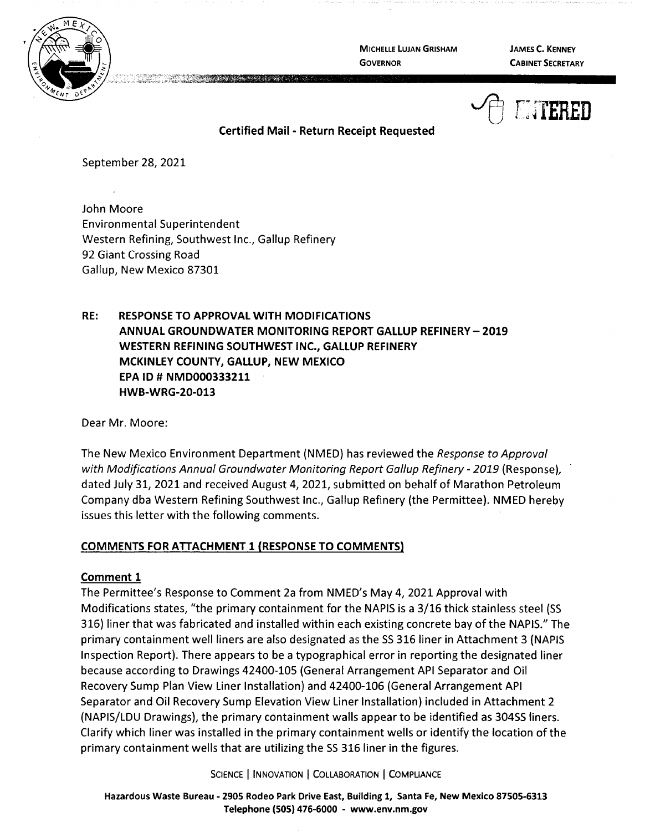

**MICHELLE LUJAN GRISHAM GOVERNOR** 

**JAMES C. KENNEY CABINET SECRETARY** 



**Certified Mail** - **Return Receipt Requested** 

September 28, 2021

John Moore Environmental Superintendent Western Refining, Southwest Inc., Gallup Refinery 92 Giant Crossing Road Gallup, New Mexico 87301

**RE: RESPONSE TO APPROVAL WITH MODIFICATIONS ANNUAL GROUNDWATER MONITORING REPORT GALLUP REFINERY- 2019 WESTERN REFINING SOUTHWEST INC., GALLUP REFINERY MCKINLEY COUNTY, GALLUP, NEW MEXICO EPA** ID# **NMD000333211 HWB-WRG-20-013** 

Dear Mr. Moore:

The New Mexico Environment Department (NMED) has reviewed the Response to Approval with Modifications Annual Groundwater Monitoring Report Gallup Refinery - 2019 (Response), dated July 31, 2021 and received August 4, 2021, submitted on behalf of Marathon Petroleum Company dba Western Refining Southwest Inc., Gallup Refinery (the Permittee). NMED hereby issues this letter with the following comments.

## **COMMENTS FOR ATTACHMENT 1 {RESPONSE TO COMMENTS)**

## **Comment 1**

The Permittee's Response to Comment 2a from NMED's May 4, 2021 Approval with Modifications states, "the primary containment for the NAPIS is a 3/16 thick stainless steel (SS 316) liner that was fabricated and installed within each existing concrete bay of the NAPIS." The primary containment well liners are also designated as the SS 316 liner in Attachment 3 (NAPIS Inspection Report). There appears to be a typographical error in reporting the designated liner because according to Drawings 42400-105 (General Arrangement API Separator and Oil Recovery Sump Plan View Liner Installation) and 42400-106 (General Arrangement API Separator and Oil Recovery Sump Elevation View Liner Installation) included in Attachment 2 (NAPIS/LDU Drawings), the primary containment walls appear to be identified as 30455 liners. Clarify which liner was installed in the primary containment wells or identify the location of the primary containment wells that are utilizing the SS 316 liner in the figures.

SCIENCE | INNOVATION | COLLABORATION | COMPLIANCE

**Hazardous Waste Bureau** - **2905 Rodeo Park Drive East, Building 1, Santa Fe, New Mexico 87505-6313 Telephone (SOS) 476-6000** - **www.env.nm.gov**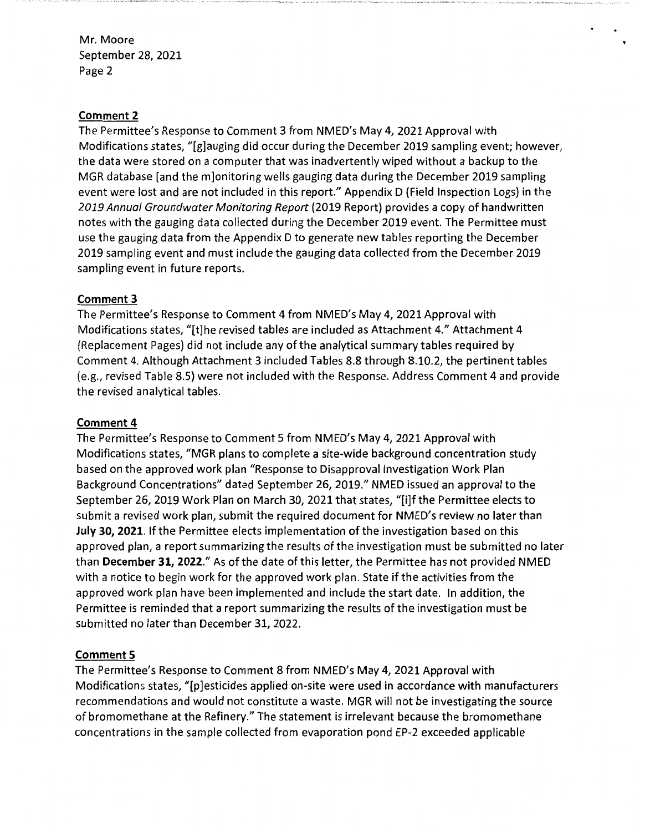### **Comment 2**

The Permittee's Response to Comment 3 from NMED's May 4, 2021 Approval with Modifications states, "[g]auging did occur during the December 2019 sampling event; however, the data were stored on a computer that was inadvertently wiped without a backup to the MGR database [and the m]onitoring wells gauging data during the December 2019 sampling event were lost and are not included in this report." Appendix D (Field Inspection Logs} in the 2019 Annual Groundwater Monitoring Report (2019 Report} provides a copy of handwritten notes with the gauging data collected during the December 2019 event. The Permittee must use the gauging data from the Appendix D to generate new tables reporting the December 2019 sampling event and must include the gauging data collected from the December 2019 sampling event in future reports.

### **Comment 3**

The Permittee's Response to Comment 4 from NMED's May 4, 2021 Approval with Modifications states, "[t]he revised tables are included as Attachment 4." Attachment 4 (Replacement Pages} did not include any of the analytical summary tables required by Comment 4. Although Attachment 3 included Tables 8.8 through 8.10.2, the pertinent tables (e.g., revised Table 8.5) were not included with the Response. Address Comment 4 and provide the revised analytical tables.

#### **Comment 4**

The Permittee's Response to Comment 5 from NMED's May 4, 2021 Approval with Modifications states, "MGR plans to complete a site-wide background concentration study based on the approved work plan "Response to Disapproval Investigation Work Plan Background Concentrations" dated September 26, 2019." NMED issued an approval to the September 26, 2019 Work Plan on March 30, 2021 that states, "[i]f the Permittee elects to submit a revised work plan, submit the required document for NMED's review no later than **July 30, 2021.** If the Permittee elects implementation of the investigation based on this approved plan, a report summarizing the results of the investigation must be submitted no later than December 31, 2022." As of the date of this letter, the Permittee has not provided NMED with a notice to begin work for the approved work plan. State if the activities from the approved work plan have been implemented and include the start date. In addition, the Permittee is reminded that a report summarizing the results of the investigation must be submitted no later than December 31, 2022.

## **Comment 5**

The Permittee's Response to Comment 8 from NMED's May 4, 2021 Approval with Modifications states, "[p]esticides applied on-site were used in accordance with manufacturers recommendations and would not constitute a waste. MGR will not be investigating the source of bromomethane at the Refinery." The statement is irrelevant because the bromomethane concentrations in the sample collected from evaporation pond EP-2 exceeded applicable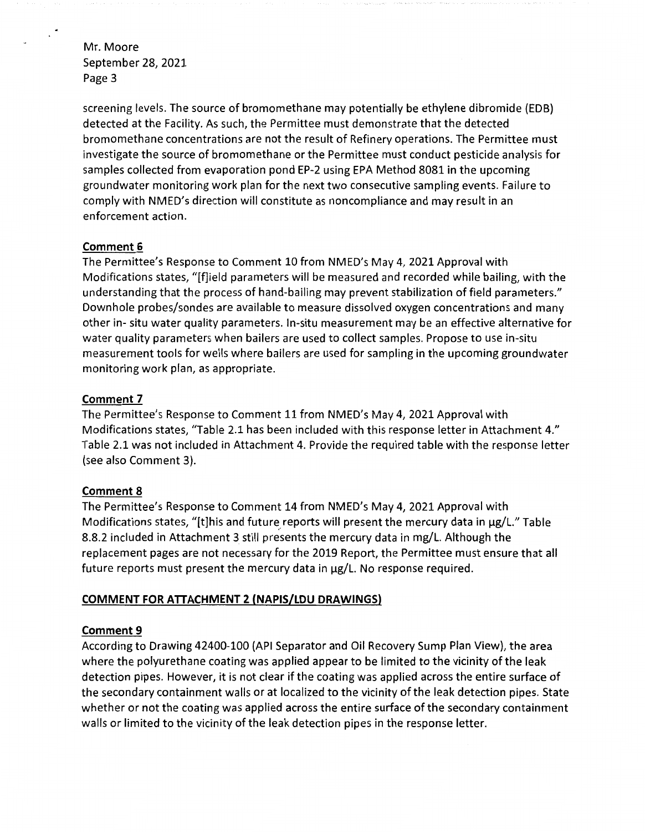$\mathbb{R}^2$ 

screening levels. The source of bromomethane may potentially be ethylene dibromide (EDB) detected at the Facility. As such, the Permittee must demonstrate that the detected bromomethane concentrations are not the result of Refinery operations. The Permittee must investigate the source of bromomethane or the Permittee must conduct pesticide analysis for samples collected from evaporation pond EP-2 using EPA Method 8081 in the upcoming groundwater monitoring work plan for the next two consecutive sampling events. Failure to comply with NMED's direction will constitute as noncompliance and may result in an enforcement action.

## **Comment 6**

The Permittee's Response to Comment 10 from NMED's May 4, 2021 Approval with Modifications states, "[f]ield parameters will be measured and recorded while bailing, with the understanding that the process of hand-bailing may prevent stabilization of field parameters." Downhole probes/sondes are available to measure dissolved oxygen concentrations and many other in- situ water quality parameters. In-situ measurement may be an effective alternative for water quality parameters when bailers are used to collect samples. Propose to use in-situ measurement tools for wells where bailers are used for sampling in the upcoming groundwater monitoring work plan, as appropriate.

### **Comment 7**

The Permittee's Response to Comment 11 from NMED's May 4, 2021 Approval with Modifications states, "Table 2.1 has been included with this response letter in Attachment 4." Table 2.1 was not included in Attachment 4. Provide the required table with the response letter (see also Comment 3).

#### **Comment 8**

The Permittee's Response to Comment 14 from NMED's May 4, 2021 Approval with Modifications states, "[t]his and future reports will present the mercury data in µg/L." Table 8.8.2 included in Attachment 3 still presents the mercury data in mg/L. Although the replacement pages are not necessary for the 2019 Report, the Permittee must ensure that all future reports must present the mercury data in µg/L. No response required.

## **COMMENT FOR ATTACHMENT 2 (NAPIS/LDU DRAWINGS)**

## **Comment 9**

According to Drawing 42400-100 (API Separator and Oil Recovery Sump Plan View), the area where the polyurethane coating was applied appear to be limited to the vicinity of the leak detection pipes. However, it is not clear if the coating was applied across the entire surface of the secondary containment walls or at localized to the vicinity of the leak detection pipes. State whether or not the coating was applied across the entire surface of the secondary containment walls or limited to the vicinity of the leak detection pipes in the response letter.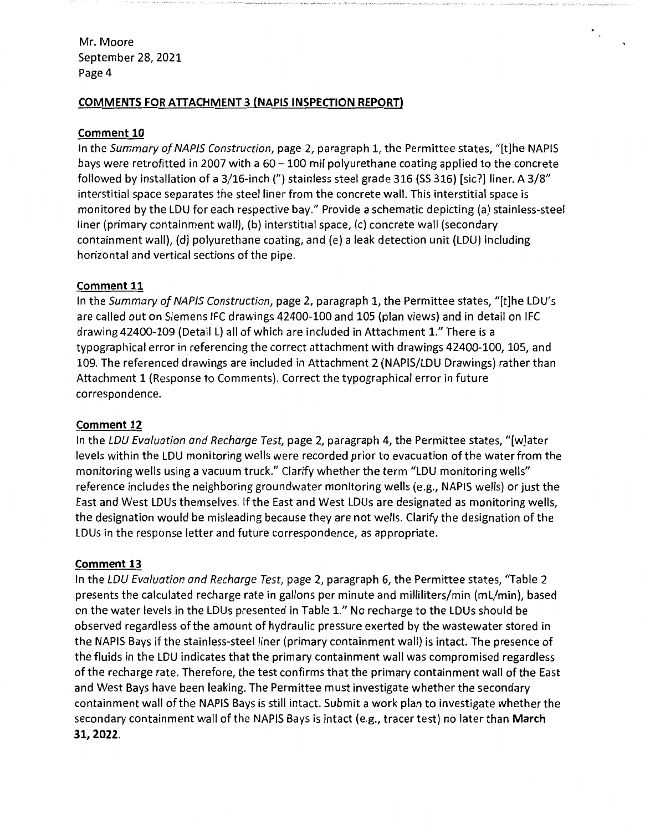# **COMMENTS FOR ATTACHMENT 3 (NAPIS INSPECTION REPORT)**

## **Comment 10**

In the Summary of NAPIS Construction, page 2, paragraph 1, the Permittee states, "[t]he NAPIS bays were retrofitted in 2007 with a  $60 - 100$  mil polyurethane coating applied to the concrete followed by installation of a 3/16-inch (") stainless steel grade 316 (SS 316) [sic?] liner. A 3/8" interstitial space separates the steel liner from the concrete wall. This interstitial space is monitored by the LOU for each respective bay." Provide a schematic depicting (a) stainless-steel liner (primary containment wall), (b) interstitial space, (c) concrete wall (secondary containment wall), (d) polyurethane coating, and (e) a leak detection unit (LOU) including horizontal and vertical sections of the pipe.

 $\mathcal{O}_{\mathcal{A}_0}$ 

### **Comment 11**

In the Summary of NAPIS Construction, page 2, paragraph 1, the Permittee states, "[t]he LDU's are called out on Siemens IFC drawings 42400-100 and 105 (plan views) and in detail on IFC drawing 42400-109 (Detail L) all of which are included in Attachment 1." There is a typographical error in referencing the correct attachment with drawings 42400-100, 105, and 109. The referenced drawings are included in Attachment 2 (NAPIS/LDU Drawings) rather than Attachment 1 (Response to Comments). Correct the typographical error in future correspondence.

## **Comment 12**

In the LDU Evaluation and Recharge Test, page 2, paragraph 4, the Permittee states, "[w]ater levels within the LDU monitoring wells were recorded prior to evacuation of the water from the monitoring wells using a vacuum truck." Clarify whether the term "LDU monitoring wells" reference includes the neighboring groundwater monitoring wells (e.g., NAPIS wells) or just the East and West LDUs themselves. If the East and West LDUs are designated as monitoring wells, the designation would be misleading because they are not wells. Clarify the designation of the LDUs in the response letter and future correspondence, as appropriate.

#### **Comment 13**

In the LOU Evaluation and Recharge Test, page 2, paragraph 6, the Permittee states, "Table 2 presents the calculated recharge rate in gallons per minute and milliliters/min (ml/min), based on the water levels in the LDUs presented in Table l." No recharge to the LDUs should be observed regardless of the amount of hydraulic pressure exerted by the wastewater stored in the NAPIS Bays if the stainless-steel liner (primary containment wall) is intact. The presence of the fluids in the LDU indicates that the primary containment wall was compromised regardless of the recharge rate. Therefore, the test confirms that the primary containment wall of the East and West Bays have been leaking. The Permittee must investigate whether the secondary containment wall of the NAPIS Bays is still intact. Submit a work plan to investigate whether the secondary containment wall of the NAPIS Bays is intact (e.g., tracer test) no later than **March 31, 2022.**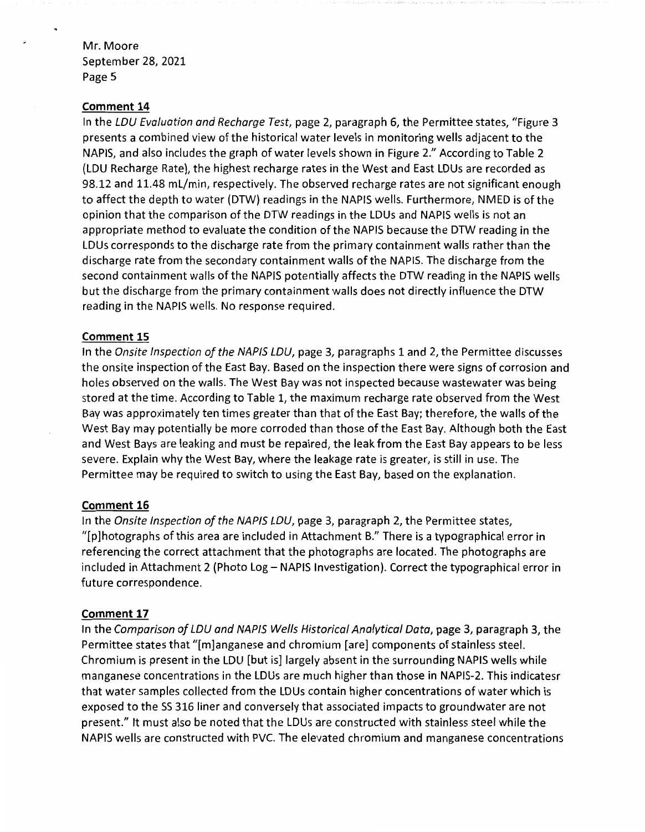#### **Comment 14**

In the LDU Evaluation and Recharge Test, page 2, paragraph 6, the Permittee states, "Figure 3 presents a combined view of the historical water levels in monitoring wells adjacent to the NAPIS, and also includes the graph of water levels shown in Figure 2." According to Table 2 (LDU Recharge Rate), the highest recharge rates in the West and East LDUs are recorded as 98.12 and 11.48 ml/min, respectively. The observed recharge rates are not significant enough to affect the depth to water (DTW) readings in the NAPIS wells. Furthermore, NMED is of the opinion that the comparison of the DTW readings in the LDUs and NAPIS wells is not an appropriate method to evaluate the condition of the NAPIS because the DTW reading in the LDUs corresponds to the discharge rate from the primary containment walls rather than the discharge rate from the secondary containment walls of the NAPIS. The discharge from the second containment walls of the NAPIS potentially affects the DTW reading in the NAPIS wells but the discharge from the primary containment walls does not directly influence the DTW reading in the NAPIS wells. No response required.

#### **Comment 15**

In the Onsite Inspection of the NAPIS LDU, page 3, paragraphs 1 and 2, the Permittee discusses the on site inspection of the East Bay. Based on the inspection there were signs of corrosion and holes observed on the walls. The West Bay was not inspected because wastewater was being stored at the time. According to Table 1, the maximum recharge rate observed from the West Bay was approximately ten times greater than that of the East Bay; therefore, the walls of the West Bay may potentially be more corroded than those of the East Bay. Although both the East and West Bays are leaking and must be repaired, the leak from the East Bay appears to be less severe. Explain why the West Bay, where the leakage rate is greater, is still in use. The Permittee may be required to switch to using the East Bay, based on the explanation.

#### **Comment 16**

In the Onsite Inspection of the NAPIS LDU, page 3, paragraph 2, the Permittee states, "[p]hotographs of this area are included in Attachment B." There is a typographical error in referencing the correct attachment that the photographs are located. The photographs are included in Attachment 2 (Photo Log - NAPIS Investigation). Correct the typographical error in future correspondence.

#### **Comment 17**

In the Comparison of LDU and NAPIS Wells Historical Analytical Data, page 3, paragraph 3, the Permittee states that "[m]anganese and chromium [are] components of stainless steel. Chromium is present in the LDU [but is] largely absent in the surrounding NAPIS wells while manganese concentrations in the LDUs are much higher than those in NAPIS-2. This indicatesr that water samples collected from the LDUs contain higher concentrations of water which is exposed to the 55 316 liner and conversely that associated impacts to groundwater are not present." It must also be noted that the LDUs are constructed with stainless steel while the NAPIS wells are constructed with PVC. The elevated chromium and manganese concentrations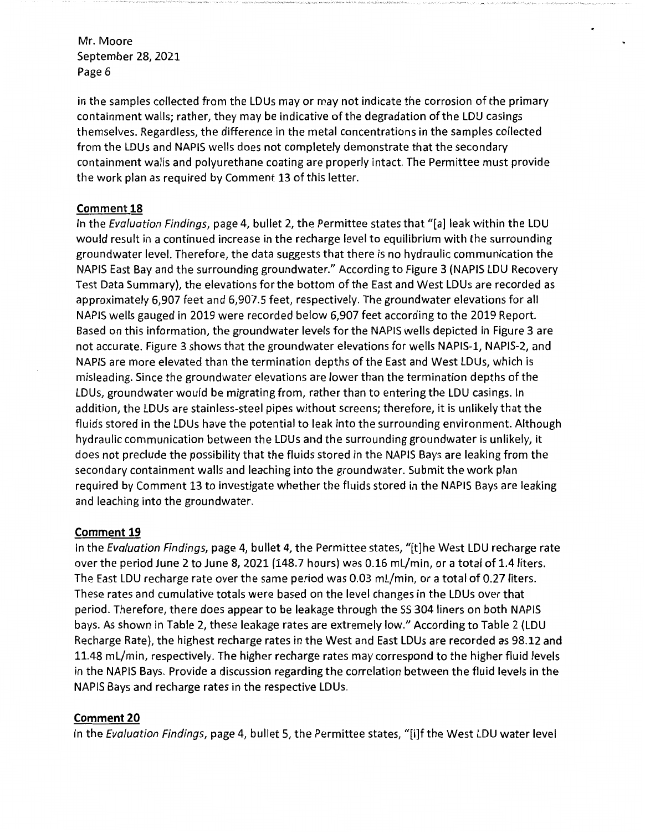in the samples collected from the lDUs may or may not indicate the corrosion of the primary containment walls; rather, they may be indicative of the degradation of the lDU casings themselves. Regardless, the difference in the metal concentrations in the samples collected from the lDUs and NAPIS wells does not completely demonstrate that the secondary containment walls and polyurethane coating are properly intact. The Permittee must provide the work plan as required by Comment 13 of this letter.

### **Comment 18**

In the Evaluation Findings, page 4, bullet 2, the Permittee states that "[a] leak within the lDU would result in a continued increase in the recharge level to equilibrium with the surrounding groundwater level. Therefore, the data suggests that there is no hydraulic communication the NAPIS East Bay and the surrounding groundwater." According to Figure 3 (NAPIS lDU Recovery Test Data Summary}, the elevations for the bottom of the East and West lDUs are recorded as approximately 6,907 feet and 6,907.5 feet, respectively. The groundwater elevations for all NAPIS wells gauged in 2019 were recorded below 6,907 feet according to the 2019 Report. Based on this information, the groundwater levels for the NAPIS wells depicted in Figure 3 are not accurate. Figure 3 shows that the groundwater elevations for wells NAPIS-1, NAPIS-2, and NAPIS are more elevated than the termination depths of the East and West lDUs, which is misleading. Since the groundwater elevations are lower than the termination depths of the lDUs, groundwater would be migrating from, rather than to entering the lDU casings. In addition, the lDUs are stainless-steel pipes without screens; therefore, it is unlikely that the fluids stored in the lDUs have the potential to leak into the surrounding environment. Although hydraulic communication between the lDUs and the surrounding groundwater is unlikely, it does not preclude the possibility that the fluids stored in the NAPIS Bays are leaking from the secondary containment walls and leaching into the groundwater. Submit the work plan required by Comment 13 to investigate whether the fluids stored in the NAPIS Bays are leaking and leaching into the groundwater.

## **Comment 19**

In the Evaluation Findings, page 4, bullet 4, the Permittee states, "[t]he West LDU recharge rate over the period June 2 to June 8, 2021 (148.7 hours} was 0.16 ml/min, or a total of 1.4 liters. The East lDU recharge rate over the same period was 0.03 ml/min, or a total of 0.27 liters. These rates and cumulative totals were based on the level changes in the lDUs over that period. Therefore, there does appear to be leakage through the 55 304 liners on both NAPIS bays. As shown in Table 2, these leakage rates are extremely low." According to Table 2 (lDU Recharge Rate}, the highest recharge rates in the West and East lDUs are recorded as 98.12 and 11.48 ml/min, respectively. The higher recharge rates may correspond to the higher fluid levels in the NAPIS Bays. Provide a discussion regarding the correlation between the fluid levels in the NAPIS Bays and recharge rates in the respective lDUs.

#### **Comment 20**

In the Evaluation Findings, page 4, bullet 5, the Permittee states, "[i]f the West LDU water level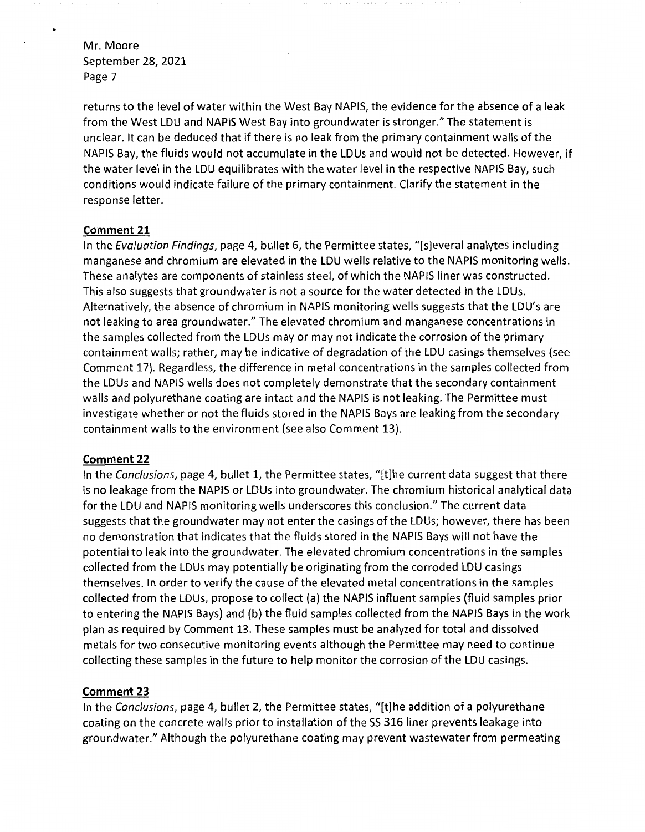returns to the level of water within the West Bay NAPIS, the evidence for the absence of a leak from the West LDU and NAPIS West Bay into groundwater is stronger." The statement is unclear. It can be deduced that if there is no leak from the primary containment walls of the NAPIS Bay, the fluids would not accumulate in the LDUs and would not be detected. However, if the water level in the LDU equilibrates with the water level in the respective NAPIS Bay, such conditions would indicate failure of the primary containment. Clarify the statement in the response letter.

### **Comment 21**

In the Evaluation Findings, page 4, bullet 6, the Permittee states, "[s]everal analytes including manganese and chromium are elevated in the LDU wells relative to the NAPIS monitoring wells. These analytes are components of stainless steel, of which the NAPIS liner was constructed. This also suggests that groundwater is not a source for the water detected in the LDUs. Alternatively, the absence of chromium in NAPIS monitoring wells suggests that the LDU's are not leaking to area groundwater." The elevated chromium and manganese concentrations in the samples collected from the LDUs may or may not indicate the corrosion of the primary containment walls; rather, may be indicative of degradation of the LDU casings themselves (see Comment 17). Regardless, the difference in metal concentrations in the samples collected from the LDUs and NAPIS wells does not completely demonstrate that the secondary containment walls and polyurethane coating are intact and the NAPIS is not leaking. The Permittee must investigate whether or not the fluids stored in the NAPIS Bays are leaking from the secondary containment walls to the environment (see also Comment 13).

## **Comment 22**

In the Conclusions, page 4, bullet 1, the Permittee states, "[t]he current data suggest that there is no leakage from the NAPIS or LDUs into groundwater. The chromium historical analytical data for the LDU and NAPIS monitoring wells underscores this conclusion." The current data suggests that the groundwater may not enter the casings of the LDUs; however, there has been no demonstration that indicates that the fluids stored in the NAPIS Bays will not have the potential to leak into the groundwater. The elevated chromium concentrations in the samples collected from the LDUs may potentially be originating from the corroded LDU casings themselves. In order to verify the cause of the elevated metal concentrations in the samples collected from the LDUs, propose to collect (a) the NAPIS influent samples (fluid samples prior to entering the NAPIS Bays) and (b) the fluid samples collected from the NAPIS Bays in the work plan as required by Comment 13. These samples must be analyzed for total and dissolved metals for two consecutive monitoring events although the Permittee may need to continue collecting these samples in the future to help monitor the corrosion of the LDU casings.

## **Comment 23**

In the Conclusions, page 4, bullet 2, the Permittee states, "[t]he addition of a polyurethane coating on the concrete walls prior to installation of the 55 316 liner prevents leakage into groundwater." Although the polyurethane coating may prevent wastewater from permeating